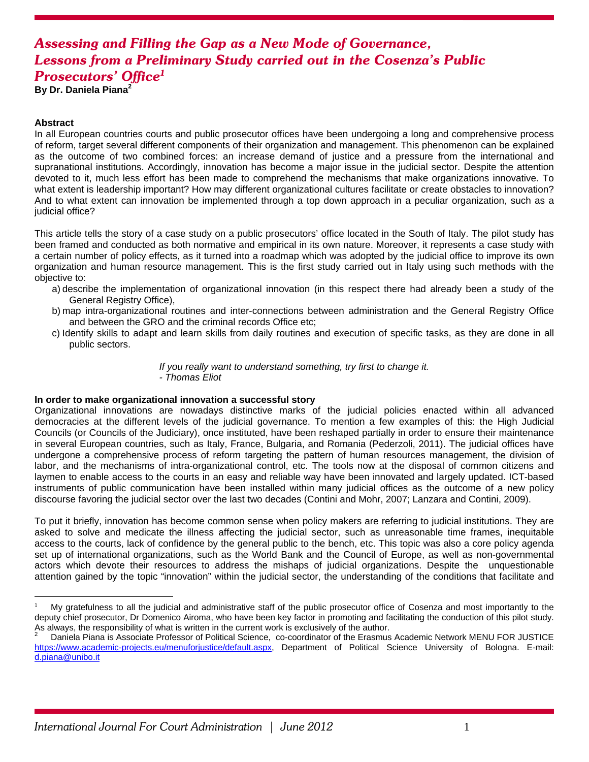# *Assessing and Filling the Gap as a New Mode of Governance, Lessons from a Preliminary Study carried out in the Cosenza's Public Prosecutors' Office1*

**By Dr. Daniela Piana<sup>2</sup>**

### **Abstract**

 $\overline{a}$ 

In all European countries courts and public prosecutor offices have been undergoing a long and comprehensive process of reform, target several different components of their organization and management. This phenomenon can be explained as the outcome of two combined forces: an increase demand of justice and a pressure from the international and supranational institutions. Accordingly, innovation has become a major issue in the judicial sector. Despite the attention devoted to it, much less effort has been made to comprehend the mechanisms that make organizations innovative. To what extent is leadership important? How may different organizational cultures facilitate or create obstacles to innovation? And to what extent can innovation be implemented through a top down approach in a peculiar organization, such as a judicial office?

This article tells the story of a case study on a public prosecutors' office located in the South of Italy. The pilot study has been framed and conducted as both normative and empirical in its own nature. Moreover, it represents a case study with a certain number of policy effects, as it turned into a roadmap which was adopted by the judicial office to improve its own organization and human resource management. This is the first study carried out in Italy using such methods with the objective to:

- a) describe the implementation of organizational innovation (in this respect there had already been a study of the General Registry Office),
- b) map intra-organizational routines and inter-connections between administration and the General Registry Office and between the GRO and the criminal records Office etc;
- c) Identify skills to adapt and learn skills from daily routines and execution of specific tasks, as they are done in all public sectors.

 *If you really want to understand something, try first to change it. - Thomas Eliot* 

#### **In order to make organizational innovation a successful story**

Organizational innovations are nowadays distinctive marks of the judicial policies enacted within all advanced democracies at the different levels of the judicial governance. To mention a few examples of this: the High Judicial Councils (or Councils of the Judiciary), once instituted, have been reshaped partially in order to ensure their maintenance in several European countries, such as Italy, France, Bulgaria, and Romania (Pederzoli, 2011). The judicial offices have undergone a comprehensive process of reform targeting the pattern of human resources management, the division of labor, and the mechanisms of intra-organizational control, etc. The tools now at the disposal of common citizens and laymen to enable access to the courts in an easy and reliable way have been innovated and largely updated. ICT-based instruments of public communication have been installed within many judicial offices as the outcome of a new policy discourse favoring the judicial sector over the last two decades (Contini and Mohr, 2007; Lanzara and Contini, 2009).

To put it briefly, innovation has become common sense when policy makers are referring to judicial institutions. They are asked to solve and medicate the illness affecting the judicial sector, such as unreasonable time frames, inequitable access to the courts, lack of confidence by the general public to the bench, etc. This topic was also a core policy agenda set up of international organizations, such as the World Bank and the Council of Europe, as well as non-governmental actors which devote their resources to address the mishaps of judicial organizations. Despite the unquestionable attention gained by the topic "innovation" within the judicial sector, the understanding of the conditions that facilitate and

<sup>1</sup> My gratefulness to all the judicial and administrative staff of the public prosecutor office of Cosenza and most importantly to the deputy chief prosecutor, Dr Domenico Airoma, who have been key factor in promoting and facilitating the conduction of this pilot study. As always, the responsibility of what is written in the current work is exclusively of the author. 2

Daniela Piana is Associate Professor of Political Science, co-coordinator of the Erasmus Academic Network MENU FOR JUSTICE https://www.academic-projects.eu/menuforjustice/default.aspx, Department of Political Science University of Bologna. E-mail: d.piana@unibo.it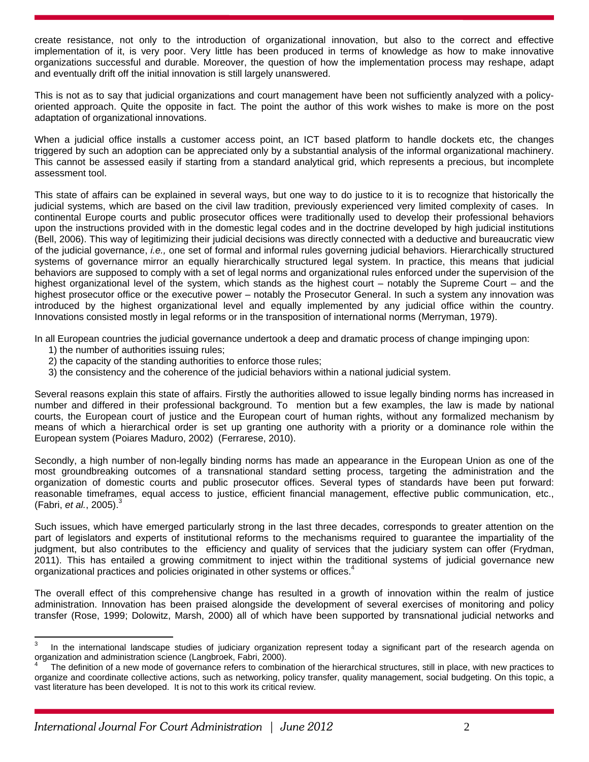create resistance, not only to the introduction of organizational innovation, but also to the correct and effective implementation of it, is very poor. Very little has been produced in terms of knowledge as how to make innovative organizations successful and durable. Moreover, the question of how the implementation process may reshape, adapt and eventually drift off the initial innovation is still largely unanswered.

This is not as to say that judicial organizations and court management have been not sufficiently analyzed with a policyoriented approach. Quite the opposite in fact. The point the author of this work wishes to make is more on the post adaptation of organizational innovations.

When a judicial office installs a customer access point, an ICT based platform to handle dockets etc, the changes triggered by such an adoption can be appreciated only by a substantial analysis of the informal organizational machinery. This cannot be assessed easily if starting from a standard analytical grid, which represents a precious, but incomplete assessment tool.

This state of affairs can be explained in several ways, but one way to do justice to it is to recognize that historically the judicial systems, which are based on the civil law tradition, previously experienced very limited complexity of cases. In continental Europe courts and public prosecutor offices were traditionally used to develop their professional behaviors upon the instructions provided with in the domestic legal codes and in the doctrine developed by high judicial institutions (Bell, 2006). This way of legitimizing their judicial decisions was directly connected with a deductive and bureaucratic view of the judicial governance, *i.e.,* one set of formal and informal rules governing judicial behaviors. Hierarchically structured systems of governance mirror an equally hierarchically structured legal system. In practice, this means that judicial behaviors are supposed to comply with a set of legal norms and organizational rules enforced under the supervision of the highest organizational level of the system, which stands as the highest court – notably the Supreme Court – and the highest prosecutor office or the executive power – notably the Prosecutor General. In such a system any innovation was introduced by the highest organizational level and equally implemented by any judicial office within the country. Innovations consisted mostly in legal reforms or in the transposition of international norms (Merryman, 1979).

In all European countries the judicial governance undertook a deep and dramatic process of change impinging upon:

- 1) the number of authorities issuing rules;
- 2) the capacity of the standing authorities to enforce those rules;
- 3) the consistency and the coherence of the judicial behaviors within a national judicial system.

Several reasons explain this state of affairs. Firstly the authorities allowed to issue legally binding norms has increased in number and differed in their professional background. To mention but a few examples, the law is made by national courts, the European court of justice and the European court of human rights, without any formalized mechanism by means of which a hierarchical order is set up granting one authority with a priority or a dominance role within the European system (Poiares Maduro, 2002) (Ferrarese, 2010).

Secondly, a high number of non-legally binding norms has made an appearance in the European Union as one of the most groundbreaking outcomes of a transnational standard setting process, targeting the administration and the organization of domestic courts and public prosecutor offices. Several types of standards have been put forward: reasonable timeframes, equal access to justice, efficient financial management, effective public communication, etc., (Fabri, *et al.*, 2005).3

Such issues, which have emerged particularly strong in the last three decades, corresponds to greater attention on the part of legislators and experts of institutional reforms to the mechanisms required to guarantee the impartiality of the judgment, but also contributes to the efficiency and quality of services that the judiciary system can offer (Frydman, 2011). This has entailed a growing commitment to inject within the traditional systems of judicial governance new organizational practices and policies originated in other systems or offices.<sup>4</sup>

The overall effect of this comprehensive change has resulted in a growth of innovation within the realm of justice administration. Innovation has been praised alongside the development of several exercises of monitoring and policy transfer (Rose, 1999; Dolowitz, Marsh, 2000) all of which have been supported by transnational judicial networks and

<sup>-&</sup>lt;br>3 In the international landscape studies of judiciary organization represent today a significant part of the research agenda on organization and administration science (Langbroek, Fabri, 2000).

<sup>4</sup> The definition of a new mode of governance refers to combination of the hierarchical structures, still in place, with new practices to organize and coordinate collective actions, such as networking, policy transfer, quality management, social budgeting. On this topic, a vast literature has been developed. It is not to this work its critical review.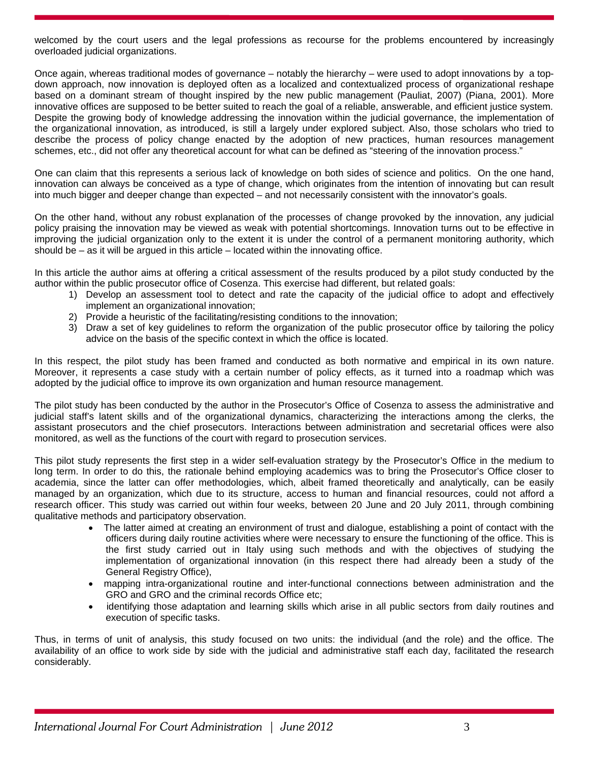welcomed by the court users and the legal professions as recourse for the problems encountered by increasingly overloaded judicial organizations.

Once again, whereas traditional modes of governance – notably the hierarchy – were used to adopt innovations by a topdown approach, now innovation is deployed often as a localized and contextualized process of organizational reshape based on a dominant stream of thought inspired by the new public management (Pauliat, 2007) (Piana, 2001). More innovative offices are supposed to be better suited to reach the goal of a reliable, answerable, and efficient justice system. Despite the growing body of knowledge addressing the innovation within the judicial governance, the implementation of the organizational innovation, as introduced, is still a largely under explored subject. Also, those scholars who tried to describe the process of policy change enacted by the adoption of new practices, human resources management schemes, etc., did not offer any theoretical account for what can be defined as "steering of the innovation process."

One can claim that this represents a serious lack of knowledge on both sides of science and politics. On the one hand, innovation can always be conceived as a type of change, which originates from the intention of innovating but can result into much bigger and deeper change than expected – and not necessarily consistent with the innovator's goals.

On the other hand, without any robust explanation of the processes of change provoked by the innovation, any judicial policy praising the innovation may be viewed as weak with potential shortcomings. Innovation turns out to be effective in improving the judicial organization only to the extent it is under the control of a permanent monitoring authority, which should be  $-$  as it will be argued in this article  $-$  located within the innovating office.

In this article the author aims at offering a critical assessment of the results produced by a pilot study conducted by the author within the public prosecutor office of Cosenza. This exercise had different, but related goals:

- 1) Develop an assessment tool to detect and rate the capacity of the judicial office to adopt and effectively implement an organizational innovation;
- 2) Provide a heuristic of the facilitating/resisting conditions to the innovation;
- 3) Draw a set of key guidelines to reform the organization of the public prosecutor office by tailoring the policy advice on the basis of the specific context in which the office is located.

In this respect, the pilot study has been framed and conducted as both normative and empirical in its own nature. Moreover, it represents a case study with a certain number of policy effects, as it turned into a roadmap which was adopted by the judicial office to improve its own organization and human resource management.

The pilot study has been conducted by the author in the Prosecutor's Office of Cosenza to assess the administrative and judicial staff's latent skills and of the organizational dynamics, characterizing the interactions among the clerks, the assistant prosecutors and the chief prosecutors. Interactions between administration and secretarial offices were also monitored, as well as the functions of the court with regard to prosecution services.

This pilot study represents the first step in a wider self-evaluation strategy by the Prosecutor's Office in the medium to long term. In order to do this, the rationale behind employing academics was to bring the Prosecutor's Office closer to academia, since the latter can offer methodologies, which, albeit framed theoretically and analytically, can be easily managed by an organization, which due to its structure, access to human and financial resources, could not afford a research officer. This study was carried out within four weeks, between 20 June and 20 July 2011, through combining qualitative methods and participatory observation.

- The latter aimed at creating an environment of trust and dialogue, establishing a point of contact with the officers during daily routine activities where were necessary to ensure the functioning of the office. This is the first study carried out in Italy using such methods and with the objectives of studying the implementation of organizational innovation (in this respect there had already been a study of the General Registry Office),
- mapping intra-organizational routine and inter-functional connections between administration and the GRO and GRO and the criminal records Office etc;
- identifying those adaptation and learning skills which arise in all public sectors from daily routines and execution of specific tasks.

Thus, in terms of unit of analysis, this study focused on two units: the individual (and the role) and the office. The availability of an office to work side by side with the judicial and administrative staff each day, facilitated the research considerably.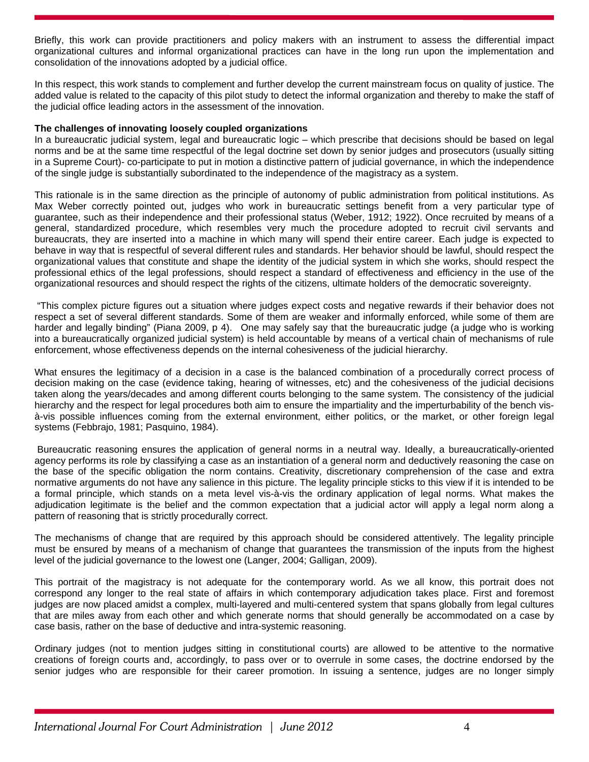Briefly, this work can provide practitioners and policy makers with an instrument to assess the differential impact organizational cultures and informal organizational practices can have in the long run upon the implementation and consolidation of the innovations adopted by a judicial office.

In this respect, this work stands to complement and further develop the current mainstream focus on quality of justice. The added value is related to the capacity of this pilot study to detect the informal organization and thereby to make the staff of the judicial office leading actors in the assessment of the innovation.

#### **The challenges of innovating loosely coupled organizations**

In a bureaucratic judicial system, legal and bureaucratic logic – which prescribe that decisions should be based on legal norms and be at the same time respectful of the legal doctrine set down by senior judges and prosecutors (usually sitting in a Supreme Court)- co-participate to put in motion a distinctive pattern of judicial governance, in which the independence of the single judge is substantially subordinated to the independence of the magistracy as a system.

This rationale is in the same direction as the principle of autonomy of public administration from political institutions. As Max Weber correctly pointed out, judges who work in bureaucratic settings benefit from a very particular type of guarantee, such as their independence and their professional status (Weber, 1912; 1922). Once recruited by means of a general, standardized procedure, which resembles very much the procedure adopted to recruit civil servants and bureaucrats, they are inserted into a machine in which many will spend their entire career. Each judge is expected to behave in way that is respectful of several different rules and standards. Her behavior should be lawful, should respect the organizational values that constitute and shape the identity of the judicial system in which she works, should respect the professional ethics of the legal professions, should respect a standard of effectiveness and efficiency in the use of the organizational resources and should respect the rights of the citizens, ultimate holders of the democratic sovereignty.

 "This complex picture figures out a situation where judges expect costs and negative rewards if their behavior does not respect a set of several different standards. Some of them are weaker and informally enforced, while some of them are harder and legally binding" (Piana 2009, p 4). One may safely say that the bureaucratic judge (a judge who is working into a bureaucratically organized judicial system) is held accountable by means of a vertical chain of mechanisms of rule enforcement, whose effectiveness depends on the internal cohesiveness of the judicial hierarchy.

What ensures the legitimacy of a decision in a case is the balanced combination of a procedurally correct process of decision making on the case (evidence taking, hearing of witnesses, etc) and the cohesiveness of the judicial decisions taken along the years/decades and among different courts belonging to the same system. The consistency of the judicial hierarchy and the respect for legal procedures both aim to ensure the impartiality and the imperturbability of the bench visà-vis possible influences coming from the external environment, either politics, or the market, or other foreign legal systems (Febbrajo, 1981; Pasquino, 1984).

 Bureaucratic reasoning ensures the application of general norms in a neutral way. Ideally, a bureaucratically-oriented agency performs its role by classifying a case as an instantiation of a general norm and deductively reasoning the case on the base of the specific obligation the norm contains. Creativity, discretionary comprehension of the case and extra normative arguments do not have any salience in this picture. The legality principle sticks to this view if it is intended to be a formal principle, which stands on a meta level vis-à-vis the ordinary application of legal norms. What makes the adjudication legitimate is the belief and the common expectation that a judicial actor will apply a legal norm along a pattern of reasoning that is strictly procedurally correct.

The mechanisms of change that are required by this approach should be considered attentively. The legality principle must be ensured by means of a mechanism of change that guarantees the transmission of the inputs from the highest level of the judicial governance to the lowest one (Langer, 2004; Galligan, 2009).

This portrait of the magistracy is not adequate for the contemporary world. As we all know, this portrait does not correspond any longer to the real state of affairs in which contemporary adjudication takes place. First and foremost judges are now placed amidst a complex, multi-layered and multi-centered system that spans globally from legal cultures that are miles away from each other and which generate norms that should generally be accommodated on a case by case basis, rather on the base of deductive and intra-systemic reasoning.

Ordinary judges (not to mention judges sitting in constitutional courts) are allowed to be attentive to the normative creations of foreign courts and, accordingly, to pass over or to overrule in some cases, the doctrine endorsed by the senior judges who are responsible for their career promotion. In issuing a sentence, judges are no longer simply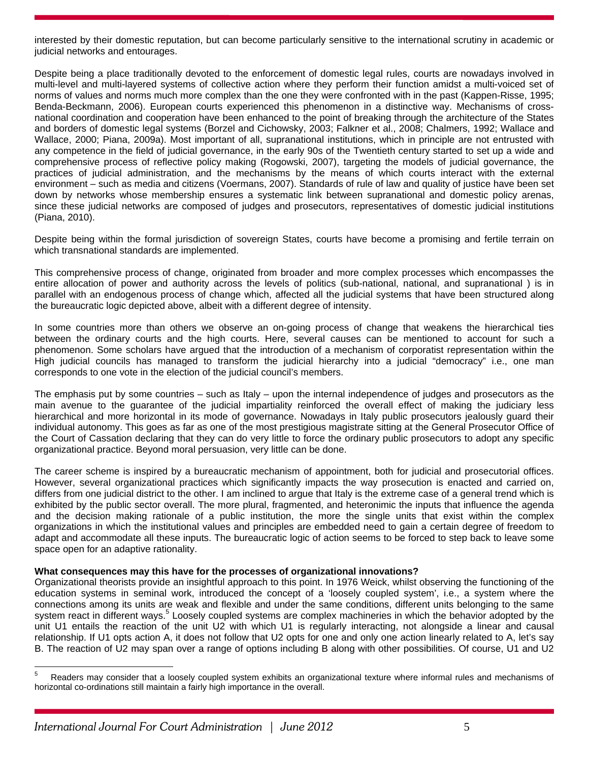interested by their domestic reputation, but can become particularly sensitive to the international scrutiny in academic or judicial networks and entourages.

Despite being a place traditionally devoted to the enforcement of domestic legal rules, courts are nowadays involved in multi-level and multi-layered systems of collective action where they perform their function amidst a multi-voiced set of norms of values and norms much more complex than the one they were confronted with in the past (Kappen-Risse, 1995; Benda-Beckmann, 2006). European courts experienced this phenomenon in a distinctive way. Mechanisms of crossnational coordination and cooperation have been enhanced to the point of breaking through the architecture of the States and borders of domestic legal systems (Borzel and Cichowsky, 2003; Falkner et al., 2008; Chalmers, 1992; Wallace and Wallace, 2000; Piana, 2009a). Most important of all, supranational institutions, which in principle are not entrusted with any competence in the field of judicial governance, in the early 90s of the Twentieth century started to set up a wide and comprehensive process of reflective policy making (Rogowski, 2007), targeting the models of judicial governance, the practices of judicial administration, and the mechanisms by the means of which courts interact with the external environment – such as media and citizens (Voermans, 2007). Standards of rule of law and quality of justice have been set down by networks whose membership ensures a systematic link between supranational and domestic policy arenas, since these judicial networks are composed of judges and prosecutors, representatives of domestic judicial institutions (Piana, 2010).

Despite being within the formal jurisdiction of sovereign States, courts have become a promising and fertile terrain on which transnational standards are implemented.

This comprehensive process of change, originated from broader and more complex processes which encompasses the entire allocation of power and authority across the levels of politics (sub-national, national, and supranational ) is in parallel with an endogenous process of change which, affected all the judicial systems that have been structured along the bureaucratic logic depicted above, albeit with a different degree of intensity.

In some countries more than others we observe an on-going process of change that weakens the hierarchical ties between the ordinary courts and the high courts. Here, several causes can be mentioned to account for such a phenomenon. Some scholars have argued that the introduction of a mechanism of corporatist representation within the High judicial councils has managed to transform the judicial hierarchy into a judicial "democracy" i.e., one man corresponds to one vote in the election of the judicial council's members.

The emphasis put by some countries – such as Italy – upon the internal independence of judges and prosecutors as the main avenue to the guarantee of the judicial impartiality reinforced the overall effect of making the judiciary less hierarchical and more horizontal in its mode of governance. Nowadays in Italy public prosecutors jealously guard their individual autonomy. This goes as far as one of the most prestigious magistrate sitting at the General Prosecutor Office of the Court of Cassation declaring that they can do very little to force the ordinary public prosecutors to adopt any specific organizational practice. Beyond moral persuasion, very little can be done.

The career scheme is inspired by a bureaucratic mechanism of appointment, both for judicial and prosecutorial offices. However, several organizational practices which significantly impacts the way prosecution is enacted and carried on, differs from one judicial district to the other. I am inclined to argue that Italy is the extreme case of a general trend which is exhibited by the public sector overall. The more plural, fragmented, and heteronimic the inputs that influence the agenda and the decision making rationale of a public institution, the more the single units that exist within the complex organizations in which the institutional values and principles are embedded need to gain a certain degree of freedom to adapt and accommodate all these inputs. The bureaucratic logic of action seems to be forced to step back to leave some space open for an adaptive rationality.

# **What consequences may this have for the processes of organizational innovations?**

Organizational theorists provide an insightful approach to this point. In 1976 Weick, whilst observing the functioning of the education systems in seminal work, introduced the concept of a 'loosely coupled system', i.e., a system where the connections among its units are weak and flexible and under the same conditions, different units belonging to the same system react in different ways.<sup>5</sup> Loosely coupled systems are complex machineries in which the behavior adopted by the unit U1 entails the reaction of the unit U2 with which U1 is regularly interacting, not alongside a linear and causal relationship. If U1 opts action A, it does not follow that U2 opts for one and only one action linearly related to A, let's say B. The reaction of U2 may span over a range of options including B along with other possibilities. Of course, U1 and U2

<sup>-&</sup>lt;br>5 Readers may consider that a loosely coupled system exhibits an organizational texture where informal rules and mechanisms of horizontal co-ordinations still maintain a fairly high importance in the overall.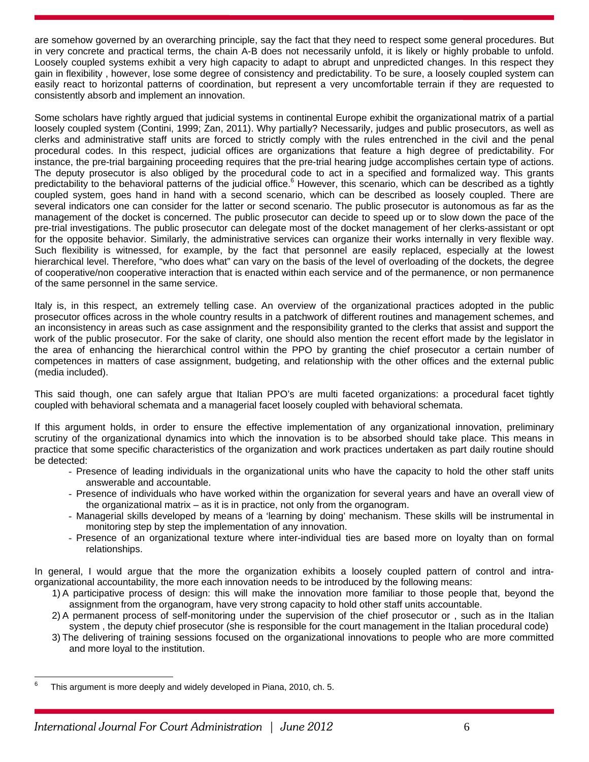are somehow governed by an overarching principle, say the fact that they need to respect some general procedures. But in very concrete and practical terms, the chain A-B does not necessarily unfold, it is likely or highly probable to unfold. Loosely coupled systems exhibit a very high capacity to adapt to abrupt and unpredicted changes. In this respect they gain in flexibility , however, lose some degree of consistency and predictability. To be sure, a loosely coupled system can easily react to horizontal patterns of coordination, but represent a very uncomfortable terrain if they are requested to consistently absorb and implement an innovation.

Some scholars have rightly argued that judicial systems in continental Europe exhibit the organizational matrix of a partial loosely coupled system (Contini, 1999; Zan, 2011). Why partially? Necessarily, judges and public prosecutors, as well as clerks and administrative staff units are forced to strictly comply with the rules entrenched in the civil and the penal procedural codes. In this respect, judicial offices are organizations that feature a high degree of predictability. For instance, the pre-trial bargaining proceeding requires that the pre-trial hearing judge accomplishes certain type of actions. The deputy prosecutor is also obliged by the procedural code to act in a specified and formalized way. This grants predictability to the behavioral patterns of the judicial office.<sup>6</sup> However, this scenario, which can be described as a tightly coupled system, goes hand in hand with a second scenario, which can be described as loosely coupled. There are several indicators one can consider for the latter or second scenario. The public prosecutor is autonomous as far as the management of the docket is concerned. The public prosecutor can decide to speed up or to slow down the pace of the pre-trial investigations. The public prosecutor can delegate most of the docket management of her clerks-assistant or opt for the opposite behavior. Similarly, the administrative services can organize their works internally in very flexible way. Such flexibility is witnessed, for example, by the fact that personnel are easily replaced, especially at the lowest hierarchical level. Therefore, "who does what" can vary on the basis of the level of overloading of the dockets, the degree of cooperative/non cooperative interaction that is enacted within each service and of the permanence, or non permanence of the same personnel in the same service.

Italy is, in this respect, an extremely telling case. An overview of the organizational practices adopted in the public prosecutor offices across in the whole country results in a patchwork of different routines and management schemes, and an inconsistency in areas such as case assignment and the responsibility granted to the clerks that assist and support the work of the public prosecutor. For the sake of clarity, one should also mention the recent effort made by the legislator in the area of enhancing the hierarchical control within the PPO by granting the chief prosecutor a certain number of competences in matters of case assignment, budgeting, and relationship with the other offices and the external public (media included).

This said though, one can safely argue that Italian PPO's are multi faceted organizations: a procedural facet tightly coupled with behavioral schemata and a managerial facet loosely coupled with behavioral schemata.

If this argument holds, in order to ensure the effective implementation of any organizational innovation, preliminary scrutiny of the organizational dynamics into which the innovation is to be absorbed should take place. This means in practice that some specific characteristics of the organization and work practices undertaken as part daily routine should be detected:

- Presence of leading individuals in the organizational units who have the capacity to hold the other staff units answerable and accountable.
- Presence of individuals who have worked within the organization for several years and have an overall view of the organizational matrix – as it is in practice, not only from the organogram.
- Managerial skills developed by means of a 'learning by doing' mechanism. These skills will be instrumental in monitoring step by step the implementation of any innovation.
- Presence of an organizational texture where inter-individual ties are based more on loyalty than on formal relationships.

In general, I would argue that the more the organization exhibits a loosely coupled pattern of control and intraorganizational accountability, the more each innovation needs to be introduced by the following means:

- 1) A participative process of design: this will make the innovation more familiar to those people that, beyond the assignment from the organogram, have very strong capacity to hold other staff units accountable.
- 2) A permanent process of self-monitoring under the supervision of the chief prosecutor or , such as in the Italian system , the deputy chief prosecutor (she is responsible for the court management in the Italian procedural code)
- 3) The delivering of training sessions focused on the organizational innovations to people who are more committed and more loyal to the institution.

<sup>-&</sup>lt;br>6 This argument is more deeply and widely developed in Piana, 2010, ch. 5.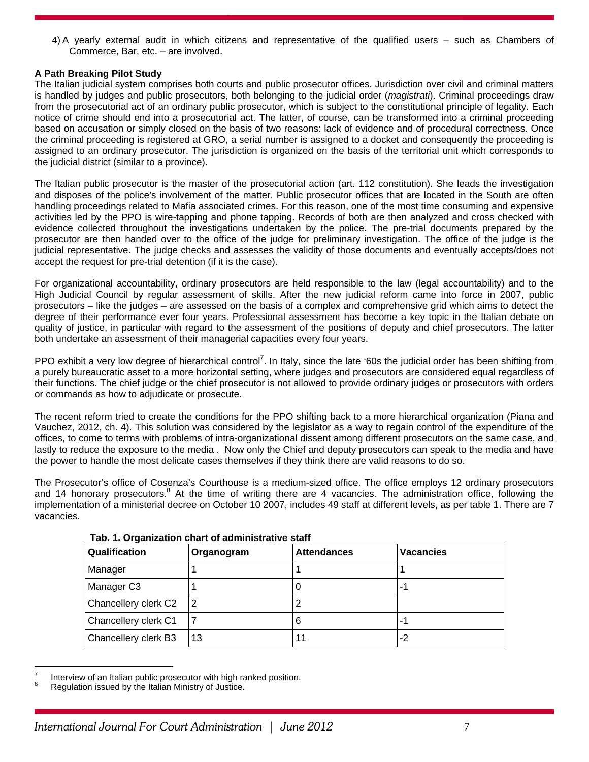4) A yearly external audit in which citizens and representative of the qualified users – such as Chambers of Commerce, Bar, etc. – are involved.

# **A Path Breaking Pilot Study**

The Italian judicial system comprises both courts and public prosecutor offices. Jurisdiction over civil and criminal matters is handled by judges and public prosecutors, both belonging to the judicial order (*magistrati*). Criminal proceedings draw from the prosecutorial act of an ordinary public prosecutor, which is subject to the constitutional principle of legality. Each notice of crime should end into a prosecutorial act. The latter, of course, can be transformed into a criminal proceeding based on accusation or simply closed on the basis of two reasons: lack of evidence and of procedural correctness. Once the criminal proceeding is registered at GRO, a serial number is assigned to a docket and consequently the proceeding is assigned to an ordinary prosecutor. The jurisdiction is organized on the basis of the territorial unit which corresponds to the judicial district (similar to a province).

The Italian public prosecutor is the master of the prosecutorial action (art. 112 constitution). She leads the investigation and disposes of the police's involvement of the matter. Public prosecutor offices that are located in the South are often handling proceedings related to Mafia associated crimes. For this reason, one of the most time consuming and expensive activities led by the PPO is wire-tapping and phone tapping. Records of both are then analyzed and cross checked with evidence collected throughout the investigations undertaken by the police. The pre-trial documents prepared by the prosecutor are then handed over to the office of the judge for preliminary investigation. The office of the judge is the judicial representative. The judge checks and assesses the validity of those documents and eventually accepts/does not accept the request for pre-trial detention (if it is the case).

For organizational accountability, ordinary prosecutors are held responsible to the law (legal accountability) and to the High Judicial Council by regular assessment of skills. After the new judicial reform came into force in 2007, public prosecutors – like the judges – are assessed on the basis of a complex and comprehensive grid which aims to detect the degree of their performance ever four years. Professional assessment has become a key topic in the Italian debate on quality of justice, in particular with regard to the assessment of the positions of deputy and chief prosecutors. The latter both undertake an assessment of their managerial capacities every four years.

PPO exhibit a very low degree of hierarchical control<sup>7</sup>. In Italy, since the late '60s the judicial order has been shifting from a purely bureaucratic asset to a more horizontal setting, where judges and prosecutors are considered equal regardless of their functions. The chief judge or the chief prosecutor is not allowed to provide ordinary judges or prosecutors with orders or commands as how to adjudicate or prosecute.

The recent reform tried to create the conditions for the PPO shifting back to a more hierarchical organization (Piana and Vauchez, 2012, ch. 4). This solution was considered by the legislator as a way to regain control of the expenditure of the offices, to come to terms with problems of intra-organizational dissent among different prosecutors on the same case, and lastly to reduce the exposure to the media . Now only the Chief and deputy prosecutors can speak to the media and have the power to handle the most delicate cases themselves if they think there are valid reasons to do so.

The Prosecutor's office of Cosenza's Courthouse is a medium-sized office. The office employs 12 ordinary prosecutors and 14 honorary prosecutors.<sup>8</sup> At the time of writing there are 4 vacancies. The administration office, following the implementation of a ministerial decree on October 10 2007, includes 49 staff at different levels, as per table 1. There are 7 vacancies.

| Qualification        | Organogram | <b>Attendances</b> | <b>Vacancies</b> |
|----------------------|------------|--------------------|------------------|
| Manager              |            |                    |                  |
| Manager C3           |            | U                  | ÷                |
| Chancellery clerk C2 | 2          |                    |                  |
| Chancellery clerk C1 |            | 6                  | ÷                |
| Chancellery clerk B3 | 13         | 11                 | -2               |

**Tab. 1. Organization chart of administrative staff** 

 $\overline{a}$ 

<sup>7</sup> Interview of an Italian public prosecutor with high ranked position.

<sup>8</sup> Regulation issued by the Italian Ministry of Justice.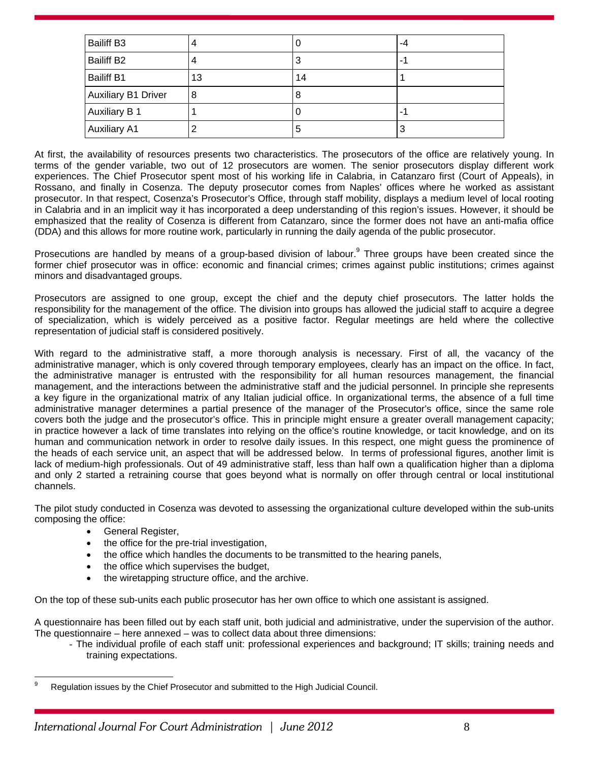| <b>Bailiff B3</b>          | 4  | υ  | -4 |
|----------------------------|----|----|----|
| <b>Bailiff B2</b>          |    | 3  | ۰. |
| <b>Bailiff B1</b>          | 13 | 14 |    |
| <b>Auxiliary B1 Driver</b> | 8  | 8  |    |
| <b>Auxiliary B 1</b>       |    | υ  | ۰. |
| <b>Auxiliary A1</b>        |    | 5  | 3  |

At first, the availability of resources presents two characteristics. The prosecutors of the office are relatively young. In terms of the gender variable, two out of 12 prosecutors are women. The senior prosecutors display different work experiences. The Chief Prosecutor spent most of his working life in Calabria, in Catanzaro first (Court of Appeals), in Rossano, and finally in Cosenza. The deputy prosecutor comes from Naples' offices where he worked as assistant prosecutor. In that respect, Cosenza's Prosecutor's Office, through staff mobility, displays a medium level of local rooting in Calabria and in an implicit way it has incorporated a deep understanding of this region's issues. However, it should be emphasized that the reality of Cosenza is different from Catanzaro, since the former does not have an anti-mafia office (DDA) and this allows for more routine work, particularly in running the daily agenda of the public prosecutor.

Prosecutions are handled by means of a group-based division of labour.<sup>9</sup> Three groups have been created since the former chief prosecutor was in office: economic and financial crimes; crimes against public institutions; crimes against minors and disadvantaged groups.

Prosecutors are assigned to one group, except the chief and the deputy chief prosecutors. The latter holds the responsibility for the management of the office. The division into groups has allowed the judicial staff to acquire a degree of specialization, which is widely perceived as a positive factor. Regular meetings are held where the collective representation of judicial staff is considered positively.

With regard to the administrative staff, a more thorough analysis is necessary. First of all, the vacancy of the administrative manager, which is only covered through temporary employees, clearly has an impact on the office. In fact, the administrative manager is entrusted with the responsibility for all human resources management, the financial management, and the interactions between the administrative staff and the judicial personnel. In principle she represents a key figure in the organizational matrix of any Italian judicial office. In organizational terms, the absence of a full time administrative manager determines a partial presence of the manager of the Prosecutor's office, since the same role covers both the judge and the prosecutor's office. This in principle might ensure a greater overall management capacity; in practice however a lack of time translates into relying on the office's routine knowledge, or tacit knowledge, and on its human and communication network in order to resolve daily issues. In this respect, one might guess the prominence of the heads of each service unit, an aspect that will be addressed below. In terms of professional figures, another limit is lack of medium-high professionals. Out of 49 administrative staff, less than half own a qualification higher than a diploma and only 2 started a retraining course that goes beyond what is normally on offer through central or local institutional channels.

The pilot study conducted in Cosenza was devoted to assessing the organizational culture developed within the sub-units composing the office:

- General Register,
- the office for the pre-trial investigation,
- the office which handles the documents to be transmitted to the hearing panels,
- the office which supervises the budget,
- the wiretapping structure office, and the archive.

On the top of these sub-units each public prosecutor has her own office to which one assistant is assigned.

A questionnaire has been filled out by each staff unit, both judicial and administrative, under the supervision of the author. The questionnaire – here annexed – was to collect data about three dimensions:

- The individual profile of each staff unit: professional experiences and background; IT skills; training needs and training expectations.

<sup>-&</sup>lt;br>9 Regulation issues by the Chief Prosecutor and submitted to the High Judicial Council.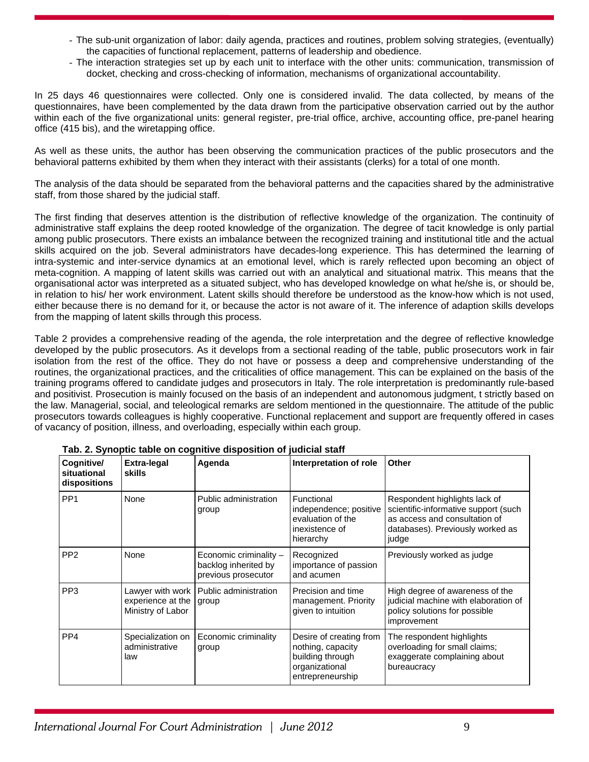- The sub-unit organization of labor: daily agenda, practices and routines, problem solving strategies, (eventually) the capacities of functional replacement, patterns of leadership and obedience.
- The interaction strategies set up by each unit to interface with the other units: communication, transmission of docket, checking and cross-checking of information, mechanisms of organizational accountability.

In 25 days 46 questionnaires were collected. Only one is considered invalid. The data collected, by means of the questionnaires, have been complemented by the data drawn from the participative observation carried out by the author within each of the five organizational units: general register, pre-trial office, archive, accounting office, pre-panel hearing office (415 bis), and the wiretapping office.

As well as these units, the author has been observing the communication practices of the public prosecutors and the behavioral patterns exhibited by them when they interact with their assistants (clerks) for a total of one month.

The analysis of the data should be separated from the behavioral patterns and the capacities shared by the administrative staff, from those shared by the judicial staff.

The first finding that deserves attention is the distribution of reflective knowledge of the organization. The continuity of administrative staff explains the deep rooted knowledge of the organization. The degree of tacit knowledge is only partial among public prosecutors. There exists an imbalance between the recognized training and institutional title and the actual skills acquired on the job. Several administrators have decades-long experience. This has determined the learning of intra-systemic and inter-service dynamics at an emotional level, which is rarely reflected upon becoming an object of meta-cognition. A mapping of latent skills was carried out with an analytical and situational matrix. This means that the organisational actor was interpreted as a situated subject, who has developed knowledge on what he/she is, or should be, in relation to his/ her work environment. Latent skills should therefore be understood as the know-how which is not used, either because there is no demand for it, or because the actor is not aware of it. The inference of adaption skills develops from the mapping of latent skills through this process.

Table 2 provides a comprehensive reading of the agenda, the role interpretation and the degree of reflective knowledge developed by the public prosecutors. As it develops from a sectional reading of the table, public prosecutors work in fair isolation from the rest of the office. They do not have or possess a deep and comprehensive understanding of the routines, the organizational practices, and the criticalities of office management. This can be explained on the basis of the training programs offered to candidate judges and prosecutors in Italy. The role interpretation is predominantly rule-based and positivist. Prosecution is mainly focused on the basis of an independent and autonomous judgment, t strictly based on the law. Managerial, social, and teleological remarks are seldom mentioned in the questionnaire. The attitude of the public prosecutors towards colleagues is highly cooperative. Functional replacement and support are frequently offered in cases of vacancy of position, illness, and overloading, especially within each group.

| ras. 2. Oynopho tablo on cognitivo disposition or judicial stan |                                                              |                                                                       |                                                                                                        |                                                                                                                                                     |
|-----------------------------------------------------------------|--------------------------------------------------------------|-----------------------------------------------------------------------|--------------------------------------------------------------------------------------------------------|-----------------------------------------------------------------------------------------------------------------------------------------------------|
| Cognitive/<br>situational<br>dispositions                       | <b>Extra-legal</b><br>skills                                 | Agenda                                                                | Interpretation of role                                                                                 | <b>Other</b>                                                                                                                                        |
| PP <sub>1</sub>                                                 | None                                                         | Public administration<br>group                                        | Functional<br>independence; positive<br>evaluation of the<br>inexistence of<br>hierarchy               | Respondent highlights lack of<br>scientific-informative support (such<br>as access and consultation of<br>databases). Previously worked as<br>judge |
| PP <sub>2</sub>                                                 | None                                                         | Economic criminality -<br>backlog inherited by<br>previous prosecutor | Recognized<br>importance of passion<br>and acumen                                                      | Previously worked as judge                                                                                                                          |
| PP <sub>3</sub>                                                 | Lawyer with work  <br>experience at the<br>Ministry of Labor | Public administration<br>group                                        | Precision and time<br>management. Priority<br>given to intuition                                       | High degree of awareness of the<br>judicial machine with elaboration of<br>policy solutions for possible<br>improvement                             |
| PP4                                                             | Specialization on<br>administrative<br>law                   | Economic criminality<br>group                                         | Desire of creating from<br>nothing, capacity<br>building through<br>organizational<br>entrepreneurship | The respondent highlights<br>overloading for small claims;<br>exaggerate complaining about<br>bureaucracy                                           |

**Tab. 2. Synoptic table on cognitive disposition of judicial staff**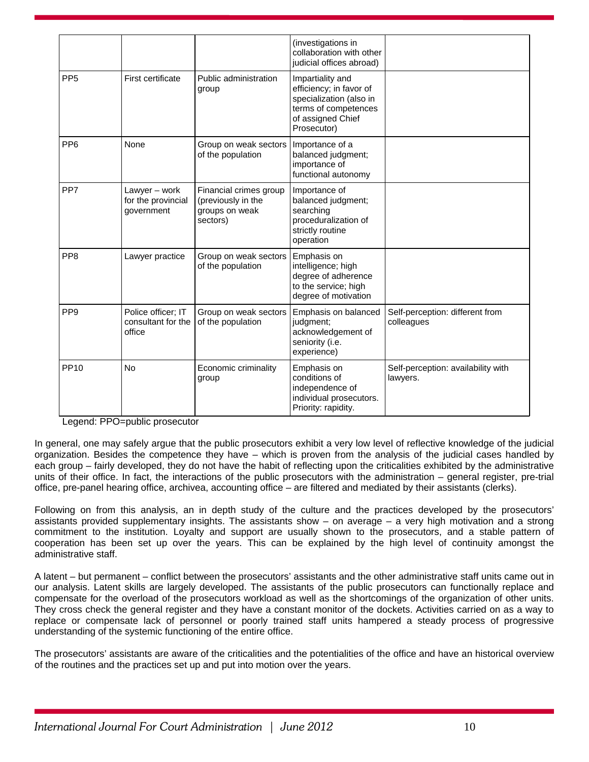|                  |                                                    |                                                                            | (investigations in<br>collaboration with other<br>judicial offices abroad)                                                         |                                                |
|------------------|----------------------------------------------------|----------------------------------------------------------------------------|------------------------------------------------------------------------------------------------------------------------------------|------------------------------------------------|
| PP <sub>5</sub>  | <b>First certificate</b>                           | Public administration<br>group                                             | Impartiality and<br>efficiency; in favor of<br>specialization (also in<br>terms of competences<br>of assigned Chief<br>Prosecutor) |                                                |
| PP <sub>6</sub>  | None                                               | Group on weak sectors<br>of the population                                 | Importance of a<br>balanced judgment;<br>importance of<br>functional autonomy                                                      |                                                |
| PP7              | Lawyer – work<br>for the provincial<br>government  | Financial crimes group<br>(previously in the<br>groups on weak<br>sectors) | Importance of<br>balanced judgment;<br>searching<br>proceduralization of<br>strictly routine<br>operation                          |                                                |
| PP <sub>8</sub>  | Lawyer practice                                    | Group on weak sectors<br>of the population                                 | Emphasis on<br>intelligence; high<br>degree of adherence<br>to the service; high<br>degree of motivation                           |                                                |
| PP <sub>9</sub>  | Police officer; IT<br>consultant for the<br>office | Group on weak sectors<br>of the population                                 | Emphasis on balanced<br>judgment;<br>acknowledgement of<br>seniority (i.e.<br>experience)                                          | Self-perception: different from<br>colleagues  |
| PP <sub>10</sub> | <b>No</b>                                          | Economic criminality<br>group                                              | Emphasis on<br>conditions of<br>independence of<br>individual prosecutors.<br>Priority: rapidity.                                  | Self-perception: availability with<br>lawyers. |

Legend: PPO=public prosecutor

In general, one may safely argue that the public prosecutors exhibit a very low level of reflective knowledge of the judicial organization. Besides the competence they have – which is proven from the analysis of the judicial cases handled by each group – fairly developed, they do not have the habit of reflecting upon the criticalities exhibited by the administrative units of their office. In fact, the interactions of the public prosecutors with the administration – general register, pre-trial office, pre-panel hearing office, archivea, accounting office – are filtered and mediated by their assistants (clerks).

Following on from this analysis, an in depth study of the culture and the practices developed by the prosecutors' assistants provided supplementary insights. The assistants show – on average – a very high motivation and a strong commitment to the institution. Loyalty and support are usually shown to the prosecutors, and a stable pattern of cooperation has been set up over the years. This can be explained by the high level of continuity amongst the administrative staff.

A latent – but permanent – conflict between the prosecutors' assistants and the other administrative staff units came out in our analysis. Latent skills are largely developed. The assistants of the public prosecutors can functionally replace and compensate for the overload of the prosecutors workload as well as the shortcomings of the organization of other units. They cross check the general register and they have a constant monitor of the dockets. Activities carried on as a way to replace or compensate lack of personnel or poorly trained staff units hampered a steady process of progressive understanding of the systemic functioning of the entire office.

The prosecutors' assistants are aware of the criticalities and the potentialities of the office and have an historical overview of the routines and the practices set up and put into motion over the years.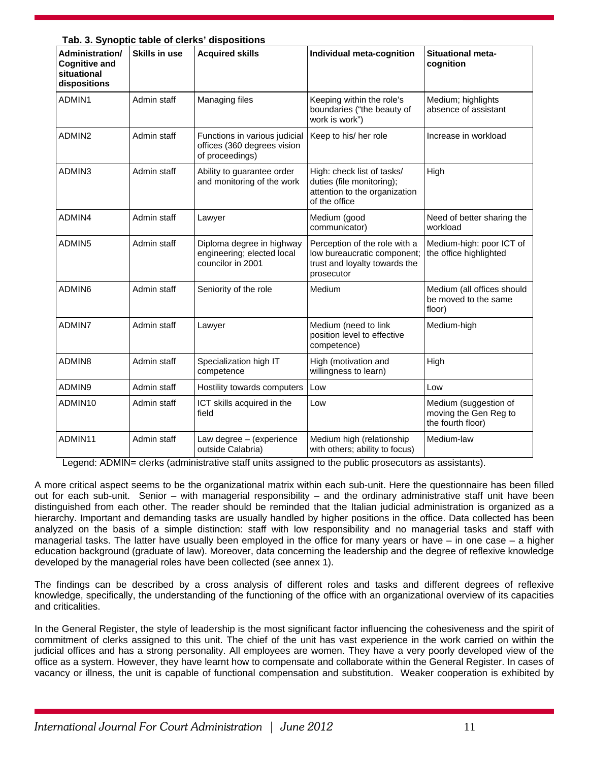| Tab. 3. Synoptic table of clerks' dispositions |  |
|------------------------------------------------|--|
|                                                |  |

| Administration/<br><b>Cognitive and</b><br>situational<br>dispositions | <b>Skills in use</b> | <b>Acquired skills</b>                                                          | Individual meta-cognition                                                                                   | <b>Situational meta-</b><br>cognition                               |
|------------------------------------------------------------------------|----------------------|---------------------------------------------------------------------------------|-------------------------------------------------------------------------------------------------------------|---------------------------------------------------------------------|
| ADMIN1                                                                 | Admin staff          | Managing files                                                                  | Keeping within the role's<br>boundaries ("the beauty of<br>work is work")                                   | Medium; highlights<br>absence of assistant                          |
| ADMIN2                                                                 | Admin staff          | Functions in various judicial<br>offices (360 degrees vision<br>of proceedings) | Keep to his/ her role                                                                                       | Increase in workload                                                |
| ADMIN3                                                                 | Admin staff          | Ability to guarantee order<br>and monitoring of the work                        | High: check list of tasks/<br>duties (file monitoring);<br>attention to the organization<br>of the office   | High                                                                |
| ADMIN4                                                                 | Admin staff          | Lawyer                                                                          | Medium (good<br>communicator)                                                                               | Need of better sharing the<br>workload                              |
| ADMIN5                                                                 | Admin staff          | Diploma degree in highway<br>engineering; elected local<br>councilor in 2001    | Perception of the role with a<br>low bureaucratic component;<br>trust and loyalty towards the<br>prosecutor | Medium-high: poor ICT of<br>the office highlighted                  |
| ADMIN6                                                                 | Admin staff          | Seniority of the role                                                           | Medium                                                                                                      | Medium (all offices should<br>be moved to the same<br>floor)        |
| ADMIN7                                                                 | Admin staff          | Lawyer                                                                          | Medium (need to link<br>position level to effective<br>competence)                                          | Medium-high                                                         |
| ADMIN8                                                                 | Admin staff          | Specialization high IT<br>competence                                            | High (motivation and<br>willingness to learn)                                                               | High                                                                |
| ADMIN9                                                                 | Admin staff          | Hostility towards computers                                                     | Low                                                                                                         | Low                                                                 |
| ADMIN10                                                                | Admin staff          | ICT skills acquired in the<br>field                                             | Low                                                                                                         | Medium (suggestion of<br>moving the Gen Reg to<br>the fourth floor) |
| ADMIN11                                                                | Admin staff          | Law degree - (experience<br>outside Calabria)                                   | Medium high (relationship<br>with others; ability to focus)                                                 | Medium-law                                                          |

Legend: ADMIN= clerks (administrative staff units assigned to the public prosecutors as assistants).

A more critical aspect seems to be the organizational matrix within each sub-unit. Here the questionnaire has been filled out for each sub-unit. Senior – with managerial responsibility – and the ordinary administrative staff unit have been distinguished from each other. The reader should be reminded that the Italian judicial administration is organized as a hierarchy. Important and demanding tasks are usually handled by higher positions in the office. Data collected has been analyzed on the basis of a simple distinction: staff with low responsibility and no managerial tasks and staff with managerial tasks. The latter have usually been employed in the office for many years or have – in one case – a higher education background (graduate of law). Moreover, data concerning the leadership and the degree of reflexive knowledge developed by the managerial roles have been collected (see annex 1).

The findings can be described by a cross analysis of different roles and tasks and different degrees of reflexive knowledge, specifically, the understanding of the functioning of the office with an organizational overview of its capacities and criticalities.

In the General Register, the style of leadership is the most significant factor influencing the cohesiveness and the spirit of commitment of clerks assigned to this unit. The chief of the unit has vast experience in the work carried on within the judicial offices and has a strong personality. All employees are women. They have a very poorly developed view of the office as a system. However, they have learnt how to compensate and collaborate within the General Register. In cases of vacancy or illness, the unit is capable of functional compensation and substitution. Weaker cooperation is exhibited by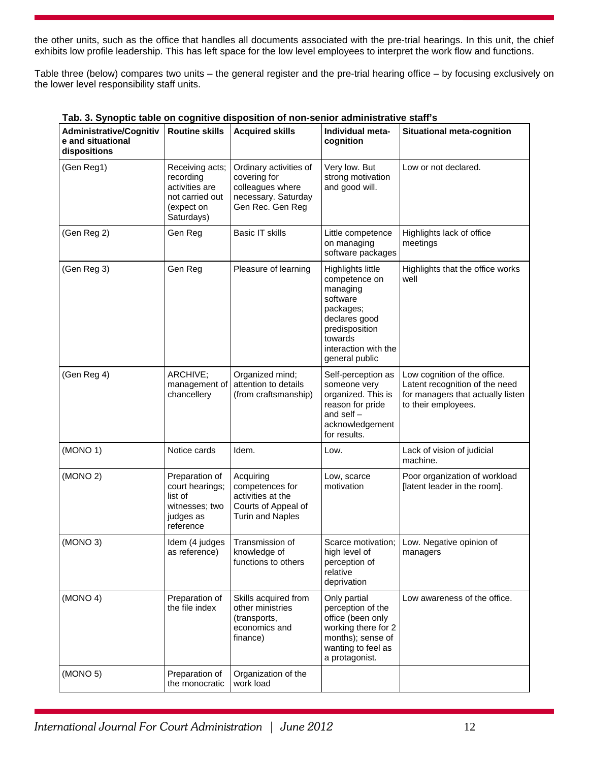the other units, such as the office that handles all documents associated with the pre-trial hearings. In this unit, the chief exhibits low profile leadership. This has left space for the low level employees to interpret the work flow and functions.

Table three (below) compares two units – the general register and the pre-trial hearing office – by focusing exclusively on the lower level responsibility staff units.

| <b>Administrative/Cognitiv</b><br>e and situational<br>dispositions | <b>Routine skills</b>                                                                         | <b>Acquired skills</b>                                                                                | Individual meta-<br>cognition                                                                                                                                   | <b>Situational meta-cognition</b>                                                                                          |
|---------------------------------------------------------------------|-----------------------------------------------------------------------------------------------|-------------------------------------------------------------------------------------------------------|-----------------------------------------------------------------------------------------------------------------------------------------------------------------|----------------------------------------------------------------------------------------------------------------------------|
| (Gen Reg1)                                                          | Receiving acts;<br>recording<br>activities are<br>not carried out<br>(expect on<br>Saturdays) | Ordinary activities of<br>covering for<br>colleagues where<br>necessary. Saturday<br>Gen Rec. Gen Reg | Very low. But<br>strong motivation<br>and good will.                                                                                                            | Low or not declared.                                                                                                       |
| (Gen Reg 2)                                                         | Gen Reg                                                                                       | <b>Basic IT skills</b>                                                                                | Little competence<br>on managing<br>software packages                                                                                                           | Highlights lack of office<br>meetings                                                                                      |
| (Gen Reg 3)                                                         | Gen Reg                                                                                       | Pleasure of learning                                                                                  | Highlights little<br>competence on<br>managing<br>software<br>packages;<br>declares good<br>predisposition<br>towards<br>interaction with the<br>general public | Highlights that the office works<br>well                                                                                   |
| (Gen Reg 4)                                                         | ARCHIVE;<br>management of<br>chancellery                                                      | Organized mind;<br>attention to details<br>(from craftsmanship)                                       | Self-perception as<br>someone very<br>organized. This is<br>reason for pride<br>and self $-$<br>acknowledgement<br>for results.                                 | Low cognition of the office.<br>Latent recognition of the need<br>for managers that actually listen<br>to their employees. |
| (MONO 1)                                                            | Notice cards                                                                                  | Idem.                                                                                                 | Low.                                                                                                                                                            | Lack of vision of judicial<br>machine.                                                                                     |
| (MONO 2)                                                            | Preparation of<br>court hearings;<br>list of<br>witnesses; two<br>judges as<br>reference      | Acquiring<br>competences for<br>activities at the<br>Courts of Appeal of<br><b>Turin and Naples</b>   | Low, scarce<br>motivation                                                                                                                                       | Poor organization of workload<br>[latent leader in the room].                                                              |
| (MONO 3)                                                            | Idem (4 judges<br>as reference)                                                               | Transmission of<br>knowledge of<br>functions to others                                                | Scarce motivation;<br>high level of<br>perception of<br>relative<br>deprivation                                                                                 | Low. Negative opinion of<br>managers                                                                                       |
| (MONO 4)                                                            | Preparation of<br>the file index                                                              | Skills acquired from<br>other ministries<br>(transports,<br>economics and<br>finance)                 | Only partial<br>perception of the<br>office (been only<br>working there for 2<br>months); sense of<br>wanting to feel as<br>a protagonist.                      | Low awareness of the office.                                                                                               |
| (MONO 5)                                                            | Preparation of<br>the monocratic                                                              | Organization of the<br>work load                                                                      |                                                                                                                                                                 |                                                                                                                            |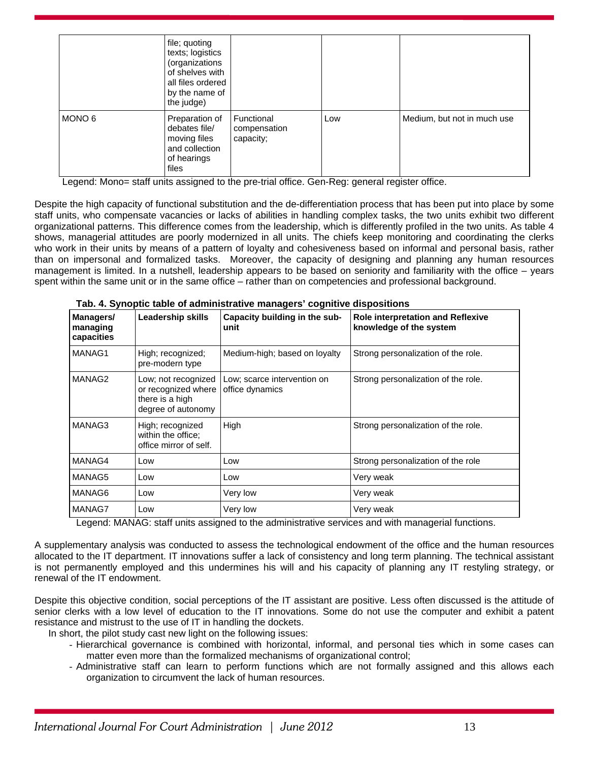|        | file; quoting<br>texts; logistics<br>(organizations<br>of shelves with<br>all files ordered<br>by the name of<br>the judge) |                                         |     |                             |
|--------|-----------------------------------------------------------------------------------------------------------------------------|-----------------------------------------|-----|-----------------------------|
| MONO 6 | Preparation of<br>debates file/<br>moving files<br>and collection<br>of hearings<br>files                                   | Functional<br>compensation<br>capacity; | Low | Medium, but not in much use |

Legend: Mono= staff units assigned to the pre-trial office. Gen-Reg: general register office.

Despite the high capacity of functional substitution and the de-differentiation process that has been put into place by some staff units, who compensate vacancies or lacks of abilities in handling complex tasks, the two units exhibit two different organizational patterns. This difference comes from the leadership, which is differently profiled in the two units. As table 4 shows, managerial attitudes are poorly modernized in all units. The chiefs keep monitoring and coordinating the clerks who work in their units by means of a pattern of loyalty and cohesiveness based on informal and personal basis, rather than on impersonal and formalized tasks. Moreover, the capacity of designing and planning any human resources management is limited. In a nutshell, leadership appears to be based on seniority and familiarity with the office – years spent within the same unit or in the same office – rather than on competencies and professional background.

| Managers/<br>managing<br>capacities | Leadership skills                                                                   | Capacity building in the sub-<br>unit          | <b>Role interpretation and Reflexive</b><br>knowledge of the system |
|-------------------------------------|-------------------------------------------------------------------------------------|------------------------------------------------|---------------------------------------------------------------------|
| MANAG1                              | High; recognized;<br>pre-modern type                                                | Medium-high; based on loyalty                  | Strong personalization of the role.                                 |
| MANAG2                              | Low; not recognized<br>or recognized where<br>there is a high<br>degree of autonomy | Low; scarce intervention on<br>office dynamics | Strong personalization of the role.                                 |
| MANAG3                              | High; recognized<br>within the office;<br>office mirror of self.                    | High                                           | Strong personalization of the role.                                 |
| MANAG4                              | Low                                                                                 | Low                                            | Strong personalization of the role                                  |
| MANAG5                              | Low                                                                                 | Low                                            | Very weak                                                           |
| MANAG6                              | Low                                                                                 | Very low                                       | Very weak                                                           |
| MANAG7                              | Low                                                                                 | Very low                                       | Very weak                                                           |

| Tab. 4. Synoptic table of administrative managers' cognitive dispositions |  |
|---------------------------------------------------------------------------|--|
|                                                                           |  |

Legend: MANAG: staff units assigned to the administrative services and with managerial functions.

A supplementary analysis was conducted to assess the technological endowment of the office and the human resources allocated to the IT department. IT innovations suffer a lack of consistency and long term planning. The technical assistant is not permanently employed and this undermines his will and his capacity of planning any IT restyling strategy, or renewal of the IT endowment.

Despite this objective condition, social perceptions of the IT assistant are positive. Less often discussed is the attitude of senior clerks with a low level of education to the IT innovations. Some do not use the computer and exhibit a patent resistance and mistrust to the use of IT in handling the dockets.

In short, the pilot study cast new light on the following issues:

- Hierarchical governance is combined with horizontal, informal, and personal ties which in some cases can matter even more than the formalized mechanisms of organizational control;
- Administrative staff can learn to perform functions which are not formally assigned and this allows each organization to circumvent the lack of human resources.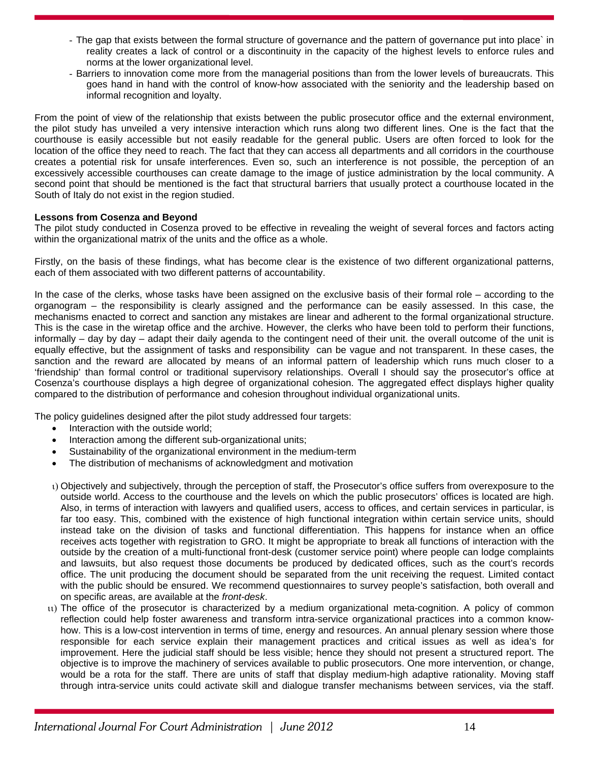- The gap that exists between the formal structure of governance and the pattern of governance put into place` in reality creates a lack of control or a discontinuity in the capacity of the highest levels to enforce rules and norms at the lower organizational level.
- Barriers to innovation come more from the managerial positions than from the lower levels of bureaucrats. This goes hand in hand with the control of know-how associated with the seniority and the leadership based on informal recognition and loyalty.

From the point of view of the relationship that exists between the public prosecutor office and the external environment, the pilot study has unveiled a very intensive interaction which runs along two different lines. One is the fact that the courthouse is easily accessible but not easily readable for the general public. Users are often forced to look for the location of the office they need to reach. The fact that they can access all departments and all corridors in the courthouse creates a potential risk for unsafe interferences. Even so, such an interference is not possible, the perception of an excessively accessible courthouses can create damage to the image of justice administration by the local community. A second point that should be mentioned is the fact that structural barriers that usually protect a courthouse located in the South of Italy do not exist in the region studied.

# **Lessons from Cosenza and Beyond**

The pilot study conducted in Cosenza proved to be effective in revealing the weight of several forces and factors acting within the organizational matrix of the units and the office as a whole.

Firstly, on the basis of these findings, what has become clear is the existence of two different organizational patterns, each of them associated with two different patterns of accountability.

In the case of the clerks, whose tasks have been assigned on the exclusive basis of their formal role – according to the organogram – the responsibility is clearly assigned and the performance can be easily assessed. In this case, the mechanisms enacted to correct and sanction any mistakes are linear and adherent to the formal organizational structure. This is the case in the wiretap office and the archive. However, the clerks who have been told to perform their functions, informally – day by day – adapt their daily agenda to the contingent need of their unit. the overall outcome of the unit is equally effective, but the assignment of tasks and responsibility can be vague and not transparent. In these cases, the sanction and the reward are allocated by means of an informal pattern of leadership which runs much closer to a 'friendship' than formal control or traditional supervisory relationships. Overall I should say the prosecutor's office at Cosenza's courthouse displays a high degree of organizational cohesion. The aggregated effect displays higher quality compared to the distribution of performance and cohesion throughout individual organizational units.

The policy guidelines designed after the pilot study addressed four targets:

- Interaction with the outside world;
- Interaction among the different sub-organizational units;
- Sustainability of the organizational environment in the medium-term
- The distribution of mechanisms of acknowledgment and motivation
- Objectively and subjectively, through the perception of staff, the Prosecutor's office suffers from overexposure to the outside world. Access to the courthouse and the levels on which the public prosecutors' offices is located are high. Also, in terms of interaction with lawyers and qualified users, access to offices, and certain services in particular, is far too easy. This, combined with the existence of high functional integration within certain service units, should instead take on the division of tasks and functional differentiation. This happens for instance when an office receives acts together with registration to GRO. It might be appropriate to break all functions of interaction with the outside by the creation of a multi-functional front-desk (customer service point) where people can lodge complaints and lawsuits, but also request those documents be produced by dedicated offices, such as the court's records office. The unit producing the document should be separated from the unit receiving the request. Limited contact with the public should be ensured. We recommend questionnaires to survey people's satisfaction, both overall and on specific areas, are available at the *front-desk*.
- 11) The office of the prosecutor is characterized by a medium organizational meta-cognition. A policy of common reflection could help foster awareness and transform intra-service organizational practices into a common knowhow. This is a low-cost intervention in terms of time, energy and resources. An annual plenary session where those responsible for each service explain their management practices and critical issues as well as idea's for improvement. Here the judicial staff should be less visible; hence they should not present a structured report. The objective is to improve the machinery of services available to public prosecutors. One more intervention, or change, would be a rota for the staff. There are units of staff that display medium-high adaptive rationality. Moving staff through intra-service units could activate skill and dialogue transfer mechanisms between services, via the staff.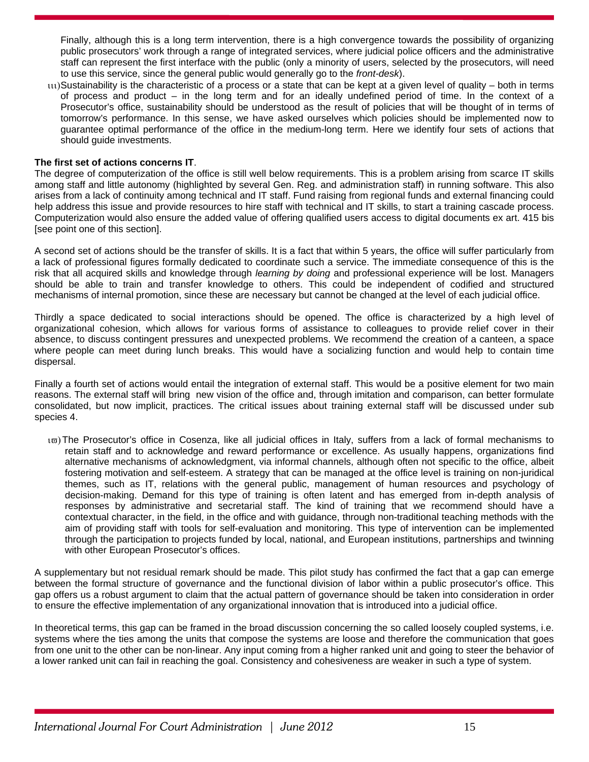Finally, although this is a long term intervention, there is a high convergence towards the possibility of organizing public prosecutors' work through a range of integrated services, where judicial police officers and the administrative staff can represent the first interface with the public (only a minority of users, selected by the prosecutors, will need to use this service, since the general public would generally go to the *front-desk*).

 $\mu$ 1)Sustainability is the characteristic of a process or a state that can be kept at a given level of quality – both in terms of process and product – in the long term and for an ideally undefined period of time. In the context of a Prosecutor's office, sustainability should be understood as the result of policies that will be thought of in terms of tomorrow's performance. In this sense, we have asked ourselves which policies should be implemented now to guarantee optimal performance of the office in the medium-long term. Here we identify four sets of actions that should guide investments.

### **The first set of actions concerns IT**.

The degree of computerization of the office is still well below requirements. This is a problem arising from scarce IT skills among staff and little autonomy (highlighted by several Gen. Reg. and administration staff) in running software. This also arises from a lack of continuity among technical and IT staff. Fund raising from regional funds and external financing could help address this issue and provide resources to hire staff with technical and IT skills, to start a training cascade process. Computerization would also ensure the added value of offering qualified users access to digital documents ex art. 415 bis [see point one of this section].

A second set of actions should be the transfer of skills. It is a fact that within 5 years, the office will suffer particularly from a lack of professional figures formally dedicated to coordinate such a service. The immediate consequence of this is the risk that all acquired skills and knowledge through *learning by doing* and professional experience will be lost. Managers should be able to train and transfer knowledge to others. This could be independent of codified and structured mechanisms of internal promotion, since these are necessary but cannot be changed at the level of each judicial office.

Thirdly a space dedicated to social interactions should be opened. The office is characterized by a high level of organizational cohesion, which allows for various forms of assistance to colleagues to provide relief cover in their absence, to discuss contingent pressures and unexpected problems. We recommend the creation of a canteen, a space where people can meet during lunch breaks. This would have a socializing function and would help to contain time dispersal.

Finally a fourth set of actions would entail the integration of external staff. This would be a positive element for two main reasons. The external staff will bring new vision of the office and, through imitation and comparison, can better formulate consolidated, but now implicit, practices. The critical issues about training external staff will be discussed under sub species 4.

to) The Prosecutor's office in Cosenza, like all judicial offices in Italy, suffers from a lack of formal mechanisms to retain staff and to acknowledge and reward performance or excellence. As usually happens, organizations find alternative mechanisms of acknowledgment, via informal channels, although often not specific to the office, albeit fostering motivation and self-esteem. A strategy that can be managed at the office level is training on non-juridical themes, such as IT, relations with the general public, management of human resources and psychology of decision-making. Demand for this type of training is often latent and has emerged from in-depth analysis of responses by administrative and secretarial staff. The kind of training that we recommend should have a contextual character, in the field, in the office and with guidance, through non-traditional teaching methods with the aim of providing staff with tools for self-evaluation and monitoring. This type of intervention can be implemented through the participation to projects funded by local, national, and European institutions, partnerships and twinning with other European Prosecutor's offices.

A supplementary but not residual remark should be made. This pilot study has confirmed the fact that a gap can emerge between the formal structure of governance and the functional division of labor within a public prosecutor's office. This gap offers us a robust argument to claim that the actual pattern of governance should be taken into consideration in order to ensure the effective implementation of any organizational innovation that is introduced into a judicial office.

In theoretical terms, this gap can be framed in the broad discussion concerning the so called loosely coupled systems, i.e. systems where the ties among the units that compose the systems are loose and therefore the communication that goes from one unit to the other can be non-linear. Any input coming from a higher ranked unit and going to steer the behavior of a lower ranked unit can fail in reaching the goal. Consistency and cohesiveness are weaker in such a type of system.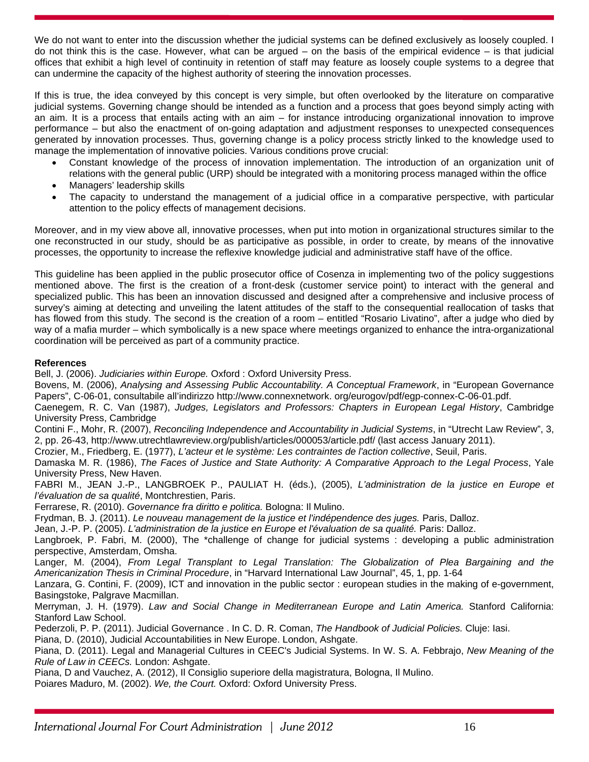We do not want to enter into the discussion whether the judicial systems can be defined exclusively as loosely coupled. I do not think this is the case. However, what can be argued  $-$  on the basis of the empirical evidence  $-$  is that judicial offices that exhibit a high level of continuity in retention of staff may feature as loosely couple systems to a degree that can undermine the capacity of the highest authority of steering the innovation processes.

If this is true, the idea conveyed by this concept is very simple, but often overlooked by the literature on comparative judicial systems. Governing change should be intended as a function and a process that goes beyond simply acting with an aim. It is a process that entails acting with an aim – for instance introducing organizational innovation to improve performance – but also the enactment of on-going adaptation and adjustment responses to unexpected consequences generated by innovation processes. Thus, governing change is a policy process strictly linked to the knowledge used to manage the implementation of innovative policies. Various conditions prove crucial:

- Constant knowledge of the process of innovation implementation. The introduction of an organization unit of relations with the general public (URP) should be integrated with a monitoring process managed within the office
- Managers' leadership skills
- The capacity to understand the management of a judicial office in a comparative perspective, with particular attention to the policy effects of management decisions.

Moreover, and in my view above all, innovative processes, when put into motion in organizational structures similar to the one reconstructed in our study, should be as participative as possible, in order to create, by means of the innovative processes, the opportunity to increase the reflexive knowledge judicial and administrative staff have of the office.

This guideline has been applied in the public prosecutor office of Cosenza in implementing two of the policy suggestions mentioned above. The first is the creation of a front-desk (customer service point) to interact with the general and specialized public. This has been an innovation discussed and designed after a comprehensive and inclusive process of survey's aiming at detecting and unveiling the latent attitudes of the staff to the consequential reallocation of tasks that has flowed from this study. The second is the creation of a room – entitled "Rosario Livatino", after a judge who died by way of a mafia murder – which symbolically is a new space where meetings organized to enhance the intra-organizational coordination will be perceived as part of a community practice.

# **References**

Bell, J. (2006). *Judiciaries within Europe.* Oxford : Oxford University Press.

Bovens, M. (2006), *Analysing and Assessing Public Accountability. A Conceptual Framework*, in "European Governance Papers", C-06-01, consultabile all'indirizzo http://www.connexnetwork. org/eurogov/pdf/egp-connex-C-06-01.pdf.

Caenegem, R. C. Van (1987), *Judges, Legislators and Professors: Chapters in European Legal History*, Cambridge University Press, Cambridge

Contini F., Mohr, R. (2007), *Reconciling Independence and Accountability in Judicial Systems*, in "Utrecht Law Review", 3, 2, pp. 26-43, http://www.utrechtlawreview.org/publish/articles/000053/article.pdf/ (last access January 2011).

Crozier, M., Friedberg, E. (1977), *L'acteur et le système: Les contraintes de l'action collective*, Seuil, Paris.

Damaska M. R. (1986), *The Faces of Justice and State Authority: A Comparative Approach to the Legal Process*, Yale University Press, New Haven.

FABRI M., JEAN J.-P., LANGBROEK P., PAULIAT H. (éds.), (2005), *L'administration de la justice en Europe et l'évaluation de sa qualité*, Montchrestien, Paris.

Ferrarese, R. (2010). *Governance fra diritto e politica.* Bologna: Il Mulino.

Frydman, B. J. (2011). *Le nouveau management de la justice et l'indépendence des juges.* Paris, Dalloz.

Jean, J.-P. P. (2005). *L'administration de la justice en Europe et l'évaluation de sa qualité.* Paris: Dalloz.

Langbroek, P. Fabri, M. (2000), The \*challenge of change for judicial systems : developing a public administration perspective, Amsterdam, Omsha.

Langer, M. (2004), *From Legal Transplant to Legal Translation: The Globalization of Plea Bargaining and the Americanization Thesis in Criminal Procedure*, in "Harvard International Law Journal", 45, 1, pp. 1-64

Lanzara, G. Contini, F. (2009), ICT and innovation in the public sector : european studies in the making of e-government, Basingstoke, Palgrave Macmillan.

Merryman, J. H. (1979). *Law and Social Change in Mediterranean Europe and Latin America.* Stanford California: Stanford Law School.

Pederzoli, P. P. (2011). Judicial Governance . In C. D. R. Coman, *The Handbook of Judicial Policies.* Cluje: Iasi.

Piana, D. (2010), Judicial Accountabilities in New Europe. London, Ashgate.

Piana, D. (2011). Legal and Managerial Cultures in CEEC's Judicial Systems. In W. S. A. Febbrajo, *New Meaning of the Rule of Law in CEECs.* London: Ashgate.

Piana, D and Vauchez, A. (2012), Il Consiglio superiore della magistratura, Bologna, Il Mulino.

Poiares Maduro, M. (2002). *We, the Court.* Oxford: Oxford University Press.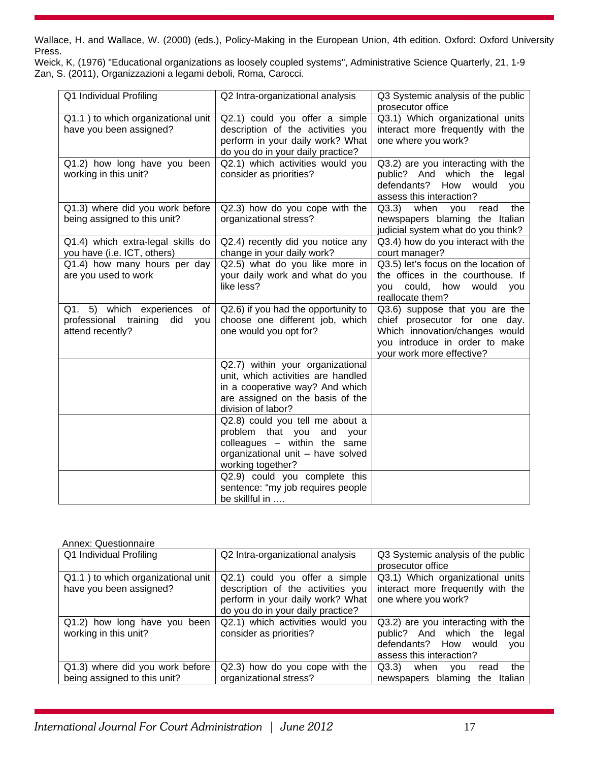Wallace, H. and Wallace, W. (2000) (eds.), Policy-Making in the European Union, 4th edition. Oxford: Oxford University Press.

Weick, K, (1976) "Educational organizations as loosely coupled systems", Administrative Science Quarterly, 21, 1-9 Zan, S. (2011), Organizzazioni a legami deboli, Roma, Carocci.

| Q1 Individual Profiling                                                                          | Q2 Intra-organizational analysis                                                                                                                                    | Q3 Systemic analysis of the public                                                                                                                               |
|--------------------------------------------------------------------------------------------------|---------------------------------------------------------------------------------------------------------------------------------------------------------------------|------------------------------------------------------------------------------------------------------------------------------------------------------------------|
| Q1.1) to which organizational unit<br>have you been assigned?                                    | Q2.1) could you offer a simple<br>description of the activities you<br>perform in your daily work? What<br>do you do in your daily practice?                        | prosecutor office<br>Q3.1) Which organizational units<br>interact more frequently with the<br>one where you work?                                                |
| Q1.2) how long have you been<br>working in this unit?                                            | Q2.1) which activities would you<br>consider as priorities?                                                                                                         | Q3.2) are you interacting with the<br>public? And which the legal<br>defendants?<br>How would<br>you<br>assess this interaction?                                 |
| Q1.3) where did you work before<br>being assigned to this unit?                                  | Q2.3) how do you cope with the<br>organizational stress?                                                                                                            | Q3.3)<br>when<br>the<br>you<br>read<br>newspapers blaming the Italian<br>judicial system what do you think?                                                      |
| Q1.4) which extra-legal skills do<br>you have (i.e. ICT, others)                                 | Q2.4) recently did you notice any<br>change in your daily work?                                                                                                     | Q3.4) how do you interact with the<br>court manager?                                                                                                             |
| Q1.4) how many hours per day<br>are you used to work                                             | Q2.5) what do you like more in<br>your daily work and what do you<br>like less?                                                                                     | Q3.5) let's focus on the location of<br>the offices in the courthouse. If<br>could, how<br>you<br>would<br>you<br>reallocate them?                               |
| Q1. 5) which experiences of<br>did<br>professional<br>training<br><b>VOU</b><br>attend recently? | Q2.6) if you had the opportunity to<br>choose one different job, which<br>one would you opt for?                                                                    | Q3.6) suppose that you are the<br>chief prosecutor for one day.<br>Which innovation/changes would<br>you introduce in order to make<br>your work more effective? |
|                                                                                                  | Q2.7) within your organizational<br>unit, which activities are handled<br>in a cooperative way? And which<br>are assigned on the basis of the<br>division of labor? |                                                                                                                                                                  |
|                                                                                                  | Q2.8) could you tell me about a<br>problem that you<br>and<br>your<br>colleagues $-$ within the same<br>organizational unit - have solved<br>working together?      |                                                                                                                                                                  |
|                                                                                                  | Q2.9) could you complete this<br>sentence: "my job requires people<br>be skillful in                                                                                |                                                                                                                                                                  |

#### Annex: Questionnaire

| Q1 Individual Profiling            | Q2 Intra-organizational analysis  | Q3 Systemic analysis of the public      |
|------------------------------------|-----------------------------------|-----------------------------------------|
|                                    |                                   | prosecutor office                       |
| Q1.1) to which organizational unit | Q2.1) could you offer a simple    | Q3.1) Which organizational units        |
| have you been assigned?            | description of the activities you | interact more frequently with the       |
|                                    | perform in your daily work? What  | one where you work?                     |
|                                    | do you do in your daily practice? |                                         |
| Q1.2) how long have you been       | Q2.1) which activities would you  | Q3.2) are you interacting with the      |
| working in this unit?              | consider as priorities?           | public? And which the<br>legal          |
|                                    |                                   | defendants? How would<br><b>VOU</b>     |
|                                    |                                   | assess this interaction?                |
| Q1.3) where did you work before    | Q2.3) how do you cope with the    | Q3.3)<br>the<br>when<br>read<br>vou     |
| being assigned to this unit?       | organizational stress?            | blaming<br>Italian<br>the<br>newspapers |